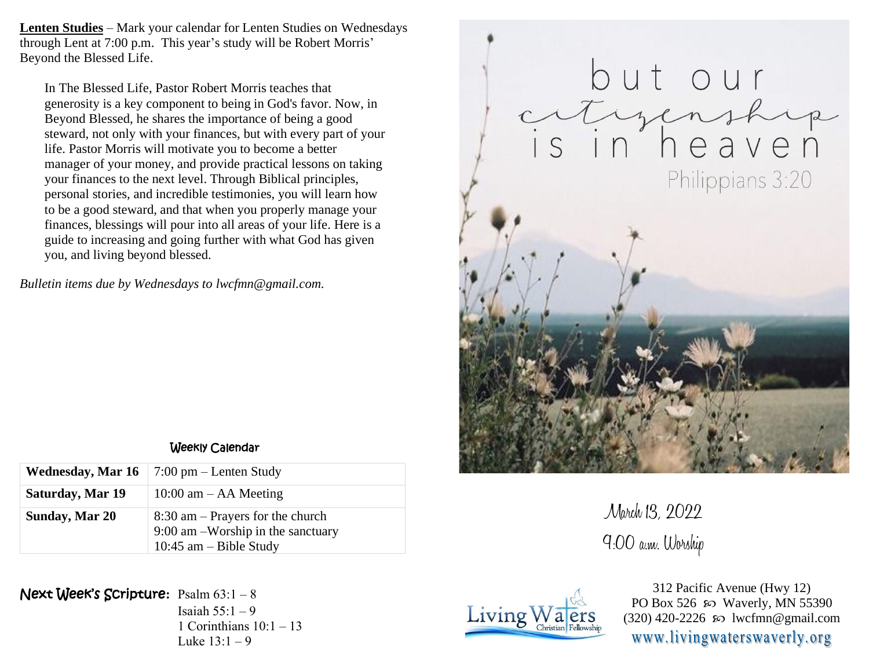**Lenten Studies** – Mark your calendar for Lenten Studies on Wednesdays through Lent at 7:00 p.m. This year's study will be Robert Morris' Beyond the Blessed Life.

In The Blessed Life, Pastor Robert Morris teaches that generosity is a key component to being in God's favor. Now, in Beyond Blessed, he shares the importance of being a good steward, not only with your finances, but with every part of your life. Pastor Morris will motivate you to become a better manager of your money, and provide practical lessons on taking your finances to the next level. Through Biblical principles, personal stories, and incredible testimonies, you will learn how to be a good steward, and that when you properly manage your finances, blessings will pour into all areas of your life. Here is a guide to increasing and going further with what God has given you, and living beyond blessed.

*Bulletin items due by Wednesdays to lwcfmn@gmail.com.*



March 13, 2022 9:00 a.m. Worship



312 Pacific Avenue (Hwy 12) PO Box 526  $\omega$  Waverly, MN 55390  $(320)$  420-2226 so lwcfmn@gmail.com www.livingwaterswaverly.org

## Weekly Calendar

|                  | <b>Wednesday, Mar 16</b>   7:00 pm – Lenten Study                                                     |  |
|------------------|-------------------------------------------------------------------------------------------------------|--|
| Saturday, Mar 19 | $10:00$ am $-$ AA Meeting                                                                             |  |
| Sunday, Mar 20   | $8:30$ am – Prayers for the church<br>$9:00$ am -Worship in the sanctuary<br>10:45 $am - Bible$ Study |  |

Next Week's Scripture**:** Psalm 63:1 – 8

Isaiah  $55:1 - 9$ 1 Corinthians  $10:1 - 13$ Luke  $13:1 - 9$